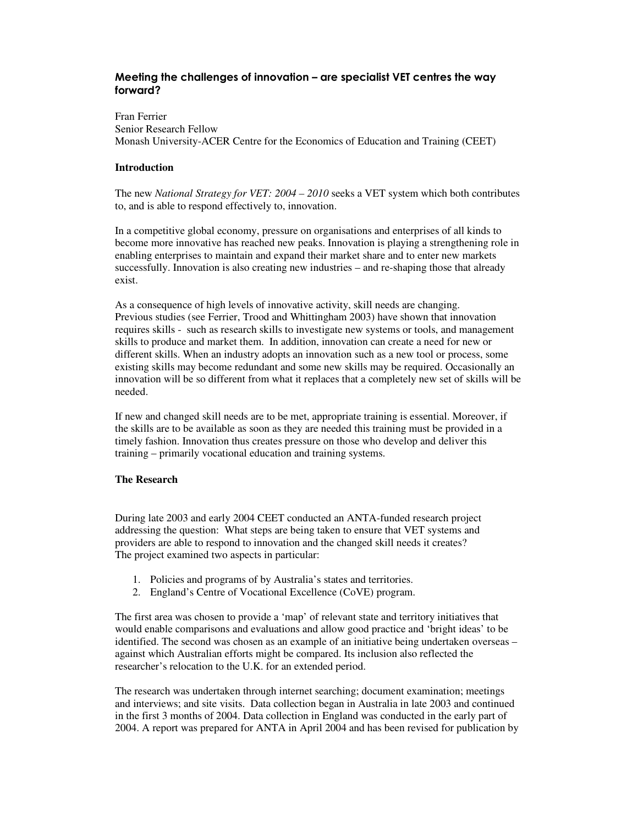# Meeting the challenges of innovation – are specialist VET centres the way forward?

Fran Ferrier Senior Research Fellow Monash University-ACER Centre for the Economics of Education and Training (CEET)

# **Introduction**

The new *National Strategy for VET: 2004 – 2010* seeks a VET system which both contributes to, and is able to respond effectively to, innovation.

In a competitive global economy, pressure on organisations and enterprises of all kinds to become more innovative has reached new peaks. Innovation is playing a strengthening role in enabling enterprises to maintain and expand their market share and to enter new markets successfully. Innovation is also creating new industries – and re-shaping those that already exist.

As a consequence of high levels of innovative activity, skill needs are changing. Previous studies (see Ferrier, Trood and Whittingham 2003) have shown that innovation requires skills - such as research skills to investigate new systems or tools, and management skills to produce and market them. In addition, innovation can create a need for new or different skills. When an industry adopts an innovation such as a new tool or process, some existing skills may become redundant and some new skills may be required. Occasionally an innovation will be so different from what it replaces that a completely new set of skills will be needed.

If new and changed skill needs are to be met, appropriate training is essential. Moreover, if the skills are to be available as soon as they are needed this training must be provided in a timely fashion. Innovation thus creates pressure on those who develop and deliver this training – primarily vocational education and training systems.

# **The Research**

During late 2003 and early 2004 CEET conducted an ANTA-funded research project addressing the question: What steps are being taken to ensure that VET systems and providers are able to respond to innovation and the changed skill needs it creates? The project examined two aspects in particular:

- 1. Policies and programs of by Australia's states and territories.
- 2. England's Centre of Vocational Excellence (CoVE) program.

The first area was chosen to provide a 'map' of relevant state and territory initiatives that would enable comparisons and evaluations and allow good practice and 'bright ideas' to be identified. The second was chosen as an example of an initiative being undertaken overseas – against which Australian efforts might be compared. Its inclusion also reflected the researcher's relocation to the U.K. for an extended period.

The research was undertaken through internet searching; document examination; meetings and interviews; and site visits. Data collection began in Australia in late 2003 and continued in the first 3 months of 2004. Data collection in England was conducted in the early part of 2004. A report was prepared for ANTA in April 2004 and has been revised for publication by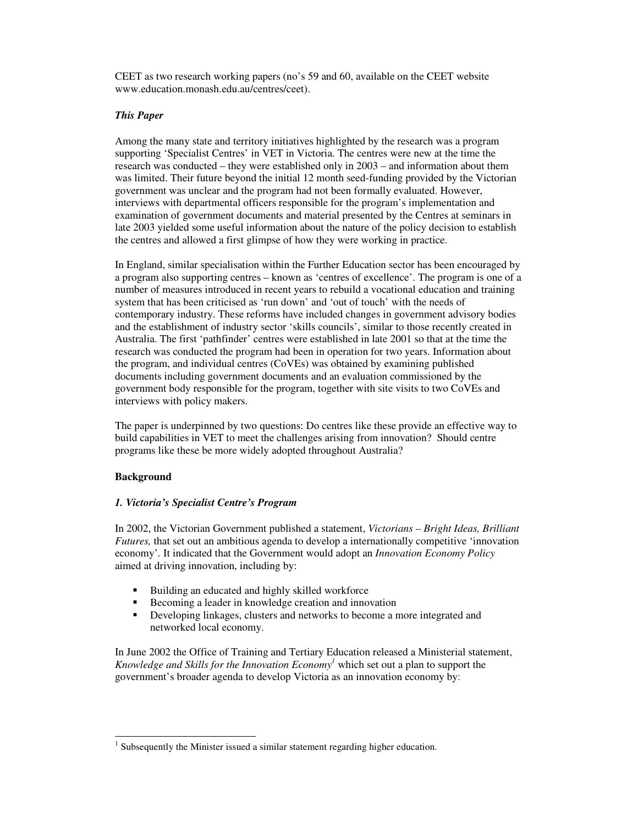CEET as two research working papers (no's 59 and 60, available on the CEET website www.education.monash.edu.au/centres/ceet).

# *This Paper*

Among the many state and territory initiatives highlighted by the research was a program supporting 'Specialist Centres' in VET in Victoria. The centres were new at the time the research was conducted – they were established only in 2003 – and information about them was limited. Their future beyond the initial 12 month seed-funding provided by the Victorian government was unclear and the program had not been formally evaluated. However, interviews with departmental officers responsible for the program's implementation and examination of government documents and material presented by the Centres at seminars in late 2003 yielded some useful information about the nature of the policy decision to establish the centres and allowed a first glimpse of how they were working in practice.

In England, similar specialisation within the Further Education sector has been encouraged by a program also supporting centres – known as 'centres of excellence'. The program is one of a number of measures introduced in recent years to rebuild a vocational education and training system that has been criticised as 'run down' and 'out of touch' with the needs of contemporary industry. These reforms have included changes in government advisory bodies and the establishment of industry sector 'skills councils', similar to those recently created in Australia. The first 'pathfinder' centres were established in late 2001 so that at the time the research was conducted the program had been in operation for two years. Information about the program, and individual centres (CoVEs) was obtained by examining published documents including government documents and an evaluation commissioned by the government body responsible for the program, together with site visits to two CoVEs and interviews with policy makers.

The paper is underpinned by two questions: Do centres like these provide an effective way to build capabilities in VET to meet the challenges arising from innovation? Should centre programs like these be more widely adopted throughout Australia?

# **Background**

# *1. Victoria's Specialist Centre's Program*

In 2002, the Victorian Government published a statement, *Victorians – Bright Ideas, Brilliant Futures,* that set out an ambitious agenda to develop a internationally competitive 'innovation economy'*.* It indicated that the Government would adopt an *Innovation Economy Policy* aimed at driving innovation, including by:

- Building an educated and highly skilled workforce
- Becoming a leader in knowledge creation and innovation
- Developing linkages, clusters and networks to become a more integrated and networked local economy.

In June 2002 the Office of Training and Tertiary Education released a Ministerial statement, *Knowledge and Skills for the Innovation Economy <sup>1</sup>* which set out a plan to support the government's broader agenda to develop Victoria as an innovation economy by:

 $<sup>1</sup>$  Subsequently the Minister issued a similar statement regarding higher education.</sup>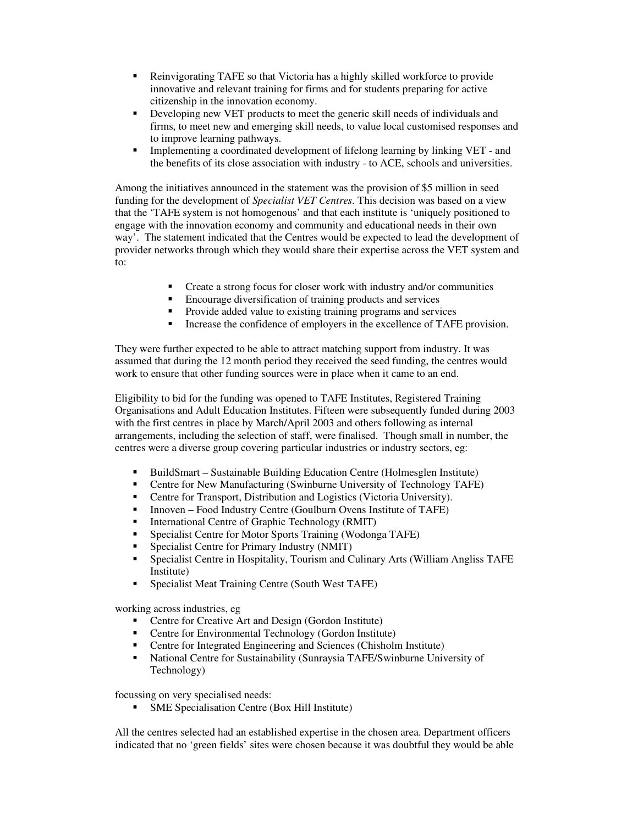- Reinvigorating TAFE so that Victoria has a highly skilled workforce to provide innovative and relevant training for firms and for students preparing for active citizenship in the innovation economy.
- Developing new VET products to meet the generic skill needs of individuals and firms, to meet new and emerging skill needs, to value local customised responses and to improve learning pathways.
- Implementing a coordinated development of lifelong learning by linking VET and the benefits of its close association with industry - to ACE, schools and universities.

Among the initiatives announced in the statement was the provision of \$5 million in seed funding for the development of *Specialist VET Centres*. This decision was based on a view that the 'TAFE system is not homogenous' and that each institute is 'uniquely positioned to engage with the innovation economy and community and educational needs in their own way'. The statement indicated that the Centres would be expected to lead the development of provider networks through which they would share their expertise across the VET system and to:

- **•** Create a strong focus for closer work with industry and/or communities
- **Encourage diversification of training products and services**
- **Provide added value to existing training programs and services**
- Increase the confidence of employers in the excellence of TAFE provision.

They were further expected to be able to attract matching support from industry. It was assumed that during the 12 month period they received the seed funding, the centres would work to ensure that other funding sources were in place when it came to an end.

Eligibility to bid for the funding was opened to TAFE Institutes, Registered Training Organisations and Adult Education Institutes. Fifteen were subsequently funded during 2003 with the first centres in place by March/April 2003 and others following as internal arrangements, including the selection of staff, were finalised. Though small in number, the centres were a diverse group covering particular industries or industry sectors, eg:

- BuildSmart Sustainable Building Education Centre (Holmesglen Institute)
- Centre for New Manufacturing (Swinburne University of Technology TAFE)
- Centre for Transport, Distribution and Logistics (Victoria University).
- Innoven Food Industry Centre (Goulburn Ovens Institute of TAFE)
- International Centre of Graphic Technology (RMIT)
- Specialist Centre for Motor Sports Training (Wodonga TAFE)
- Specialist Centre for Primary Industry (NMIT)
- Specialist Centre in Hospitality, Tourism and Culinary Arts (William Angliss TAFE Institute)
- Specialist Meat Training Centre (South West TAFE)

working across industries, eg

- Centre for Creative Art and Design (Gordon Institute)
- Centre for Environmental Technology (Gordon Institute)
- Centre for Integrated Engineering and Sciences (Chisholm Institute)
- National Centre for Sustainability (Sunraysia TAFE/Swinburne University of Technology)

focussing on very specialised needs:

SME Specialisation Centre (Box Hill Institute)

All the centres selected had an established expertise in the chosen area. Department officers indicated that no 'green fields' sites were chosen because it was doubtful they would be able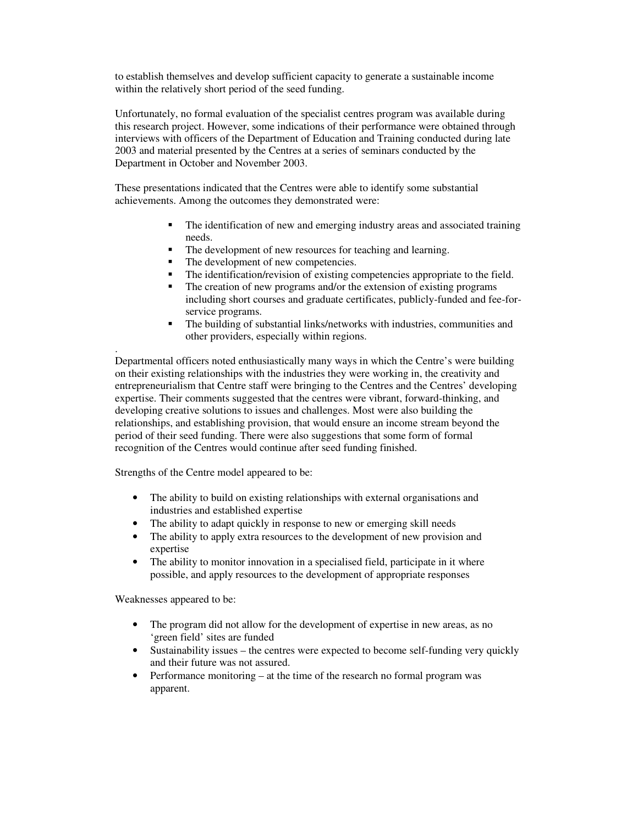to establish themselves and develop sufficient capacity to generate a sustainable income within the relatively short period of the seed funding.

Unfortunately, no formal evaluation of the specialist centres program was available during this research project. However, some indications of their performance were obtained through interviews with officers of the Department of Education and Training conducted during late 2003 and material presented by the Centres at a series of seminars conducted by the Department in October and November 2003.

These presentations indicated that the Centres were able to identify some substantial achievements. Among the outcomes they demonstrated were:

- The identification of new and emerging industry areas and associated training needs.
- The development of new resources for teaching and learning.
- The development of new competencies.<br>The identification/revision of existing  $\alpha$
- The identification/revision of existing competencies appropriate to the field.<br>The creation of new programs and/or the extension of existing programs
- The creation of new programs and/or the extension of existing programs including short courses and graduate certificates, publicly-funded and fee-forservice programs.
- The building of substantial links/networks with industries, communities and other providers, especially within regions.

. Departmental officers noted enthusiastically many ways in which the Centre's were building on their existing relationships with the industries they were working in, the creativity and entrepreneurialism that Centre staff were bringing to the Centres and the Centres' developing expertise. Their comments suggested that the centres were vibrant, forward-thinking, and developing creative solutions to issues and challenges. Most were also building the relationships, and establishing provision, that would ensure an income stream beyond the period of their seed funding. There were also suggestions that some form of formal recognition of the Centres would continue after seed funding finished.

Strengths of the Centre model appeared to be:

- The ability to build on existing relationships with external organisations and industries and established expertise
- The ability to adapt quickly in response to new or emerging skill needs
- The ability to apply extra resources to the development of new provision and expertise
- The ability to monitor innovation in a specialised field, participate in it where possible, and apply resources to the development of appropriate responses

Weaknesses appeared to be:

- The program did not allow for the development of expertise in new areas, as no 'green field' sites are funded
- Sustainability issues the centres were expected to become self-funding very quickly and their future was not assured.
- Performance monitoring at the time of the research no formal program was apparent.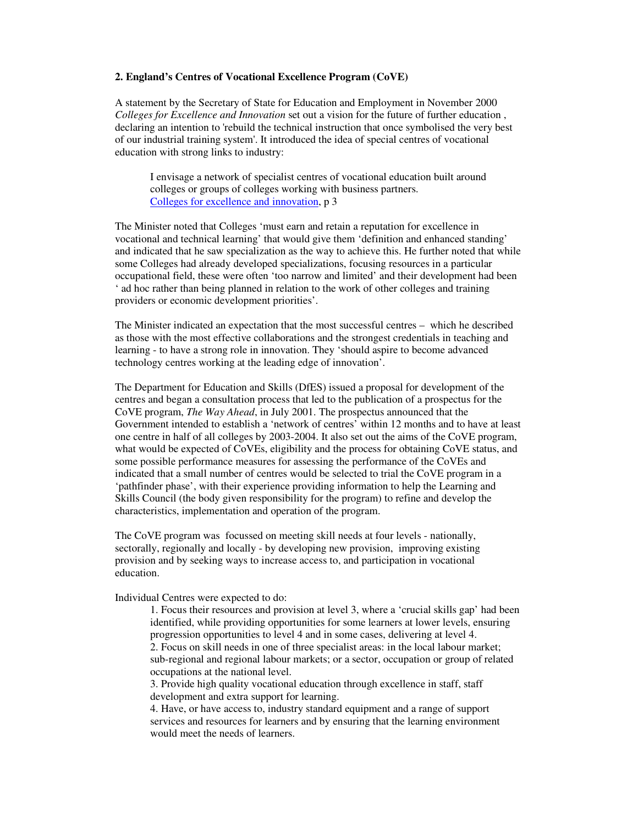#### **2. England's Centres of Vocational Excellence Program (CoVE)**

A statement by the Secretary of State for Education and Employment in November 2000 *Colleges for Excellence and Innovation* set out a vision for the future of further education , declaring an intention to 'rebuild the technical instruction that once symbolised the very best of our industrial training system'. It introduced the idea of special centres of vocational education with strong links to industry:

I envisage a network of specialist centres of vocational education built around colleges or groups of colleges working with business partners. Colleges for excellence and innovation, p 3

The Minister noted that Colleges 'must earn and retain a reputation for excellence in vocational and technical learning' that would give them 'definition and enhanced standing' and indicated that he saw specialization as the way to achieve this. He further noted that while some Colleges had already developed specializations, focusing resources in a particular occupational field, these were often 'too narrow and limited' and their development had been ' ad hoc rather than being planned in relation to the work of other colleges and training providers or economic development priorities'.

The Minister indicated an expectation that the most successful centres – which he described as those with the most effective collaborations and the strongest credentials in teaching and learning - to have a strong role in innovation. They 'should aspire to become advanced technology centres working at the leading edge of innovation'.

The Department for Education and Skills (DfES) issued a proposal for development of the centres and began a consultation process that led to the publication of a prospectus for the CoVE program, *The Way Ahead*, in July 2001. The prospectus announced that the Government intended to establish a 'network of centres' within 12 months and to have at least one centre in half of all colleges by 2003-2004. It also set out the aims of the CoVE program, what would be expected of CoVEs, eligibility and the process for obtaining CoVE status, and some possible performance measures for assessing the performance of the CoVEs and indicated that a small number of centres would be selected to trial the CoVE program in a 'pathfinder phase', with their experience providing information to help the Learning and Skills Council (the body given responsibility for the program) to refine and develop the characteristics, implementation and operation of the program.

The CoVE program was focussed on meeting skill needs at four levels - nationally, sectorally, regionally and locally - by developing new provision, improving existing provision and by seeking ways to increase access to, and participation in vocational education.

Individual Centres were expected to do:

1. Focus their resources and provision at level 3, where a 'crucial skills gap' had been identified, while providing opportunities for some learners at lower levels, ensuring progression opportunities to level 4 and in some cases, delivering at level 4. 2. Focus on skill needs in one of three specialist areas: in the local labour market; sub-regional and regional labour markets; or a sector, occupation or group of related occupations at the national level.

3. Provide high quality vocational education through excellence in staff, staff development and extra support for learning.

4. Have, or have access to, industry standard equipment and a range of support services and resources for learners and by ensuring that the learning environment would meet the needs of learners.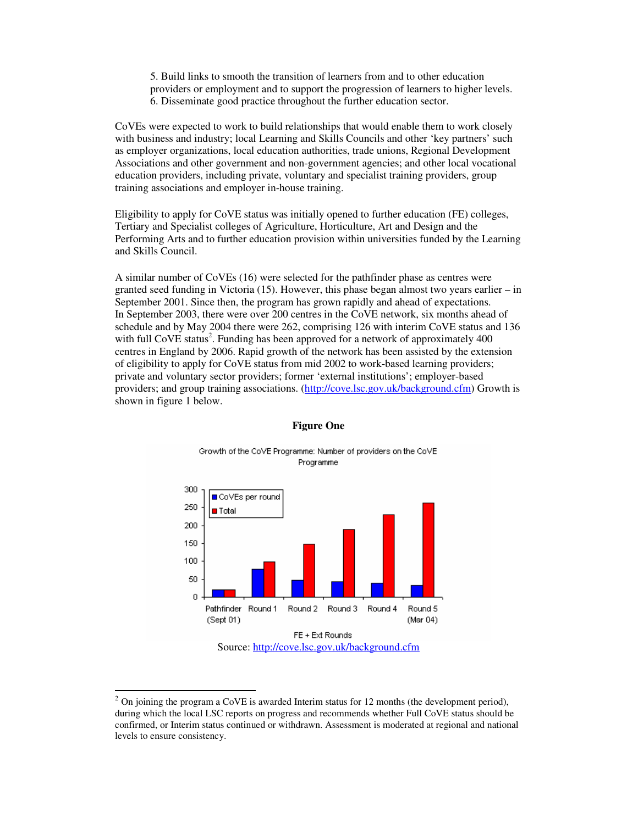5. Build links to smooth the transition of learners from and to other education providers or employment and to support the progression of learners to higher levels. 6. Disseminate good practice throughout the further education sector.

CoVEs were expected to work to build relationships that would enable them to work closely with business and industry; local Learning and Skills Councils and other 'key partners' such as employer organizations, local education authorities, trade unions, Regional Development Associations and other government and non-government agencies; and other local vocational education providers, including private, voluntary and specialist training providers, group training associations and employer in-house training.

Eligibility to apply for CoVE status was initially opened to further education (FE) colleges, Tertiary and Specialist colleges of Agriculture, Horticulture, Art and Design and the Performing Arts and to further education provision within universities funded by the Learning and Skills Council.

A similar number of CoVEs (16) were selected for the pathfinder phase as centres were granted seed funding in Victoria (15). However, this phase began almost two years earlier – in September 2001. Since then, the program has grown rapidly and ahead of expectations. In September 2003, there were over 200 centres in the CoVE network, six months ahead of schedule and by May 2004 there were 262, comprising 126 with interim CoVE status and 136 with full CoVE status<sup>2</sup>. Funding has been approved for a network of approximately 400 centres in England by 2006. Rapid growth of the network has been assisted by the extension of eligibility to apply for CoVE status from mid 2002 to work-based learning providers; private and voluntary sector providers; former 'external institutions'; employer-based providers; and group training associations. (http://cove.lsc.gov.uk/background.cfm) Growth is shown in figure 1 below.



#### **Figure One**

Growth of the CoVE Programme: Number of providers on the CoVE Programme

 $2$  On joining the program a CoVE is awarded Interim status for 12 months (the development period), during which the local LSC reports on progress and recommends whether Full CoVE status should be confirmed, or Interim status continued or withdrawn. Assessment is moderated at regional and national levels to ensure consistency.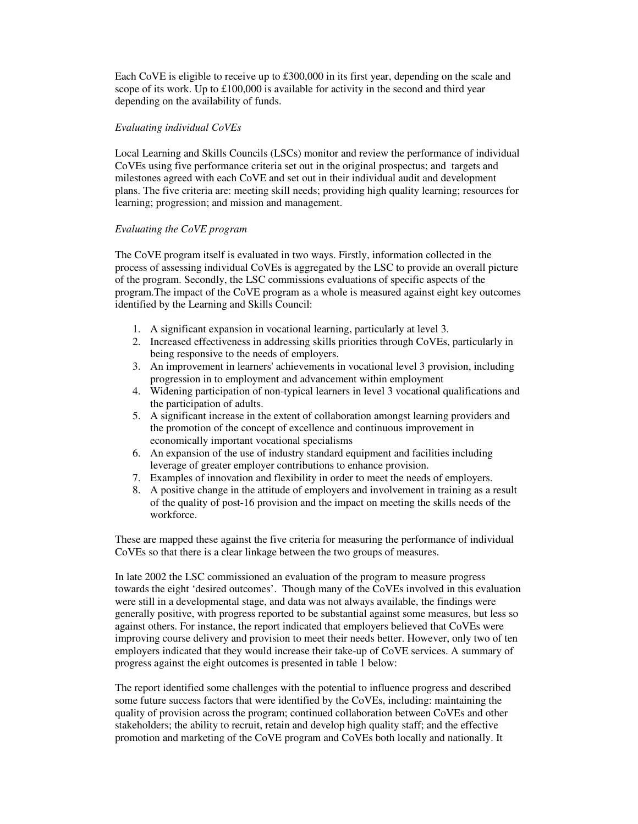Each CoVE is eligible to receive up to £300,000 in its first year, depending on the scale and scope of its work. Up to £100,000 is available for activity in the second and third year depending on the availability of funds.

### *Evaluating individual CoVEs*

Local Learning and Skills Councils (LSCs) monitor and review the performance of individual CoVEs using five performance criteria set out in the original prospectus; and targets and milestones agreed with each CoVE and set out in their individual audit and development plans. The five criteria are: meeting skill needs; providing high quality learning; resources for learning; progression; and mission and management.

### *Evaluating the CoVE program*

The CoVE program itself is evaluated in two ways. Firstly, information collected in the process of assessing individual CoVEs is aggregated by the LSC to provide an overall picture of the program. Secondly, the LSC commissions evaluations of specific aspects of the program.The impact of the CoVE program as a whole is measured against eight key outcomes identified by the Learning and Skills Council:

- 1. A significant expansion in vocational learning, particularly at level 3.
- 2. Increased effectiveness in addressing skills priorities through CoVEs, particularly in being responsive to the needs of employers.
- 3. An improvement in learners'achievements in vocational level 3 provision, including progression in to employment and advancement within employment
- 4. Widening participation of non-typical learners in level 3 vocational qualifications and the participation of adults.
- 5. A significant increase in the extent of collaboration amongst learning providers and the promotion of the concept of excellence and continuous improvement in economically important vocational specialisms
- 6. An expansion of the use of industry standard equipment and facilities including leverage of greater employer contributions to enhance provision.
- 7. Examples of innovation and flexibility in order to meet the needs of employers.
- 8. A positive change in the attitude of employers and involvement in training as a result of the quality of post-16 provision and the impact on meeting the skills needs of the workforce.

These are mapped these against the five criteria for measuring the performance of individual CoVEs so that there is a clear linkage between the two groups of measures.

In late 2002 the LSC commissioned an evaluation of the program to measure progress towards the eight 'desired outcomes'. Though many of the CoVEs involved in this evaluation were still in a developmental stage, and data was not always available, the findings were generally positive, with progress reported to be substantial against some measures, but less so against others. For instance, the report indicated that employers believed that CoVEs were improving course delivery and provision to meet their needs better. However, only two of ten employers indicated that they would increase their take-up of CoVE services. A summary of progress against the eight outcomes is presented in table 1 below:

The report identified some challenges with the potential to influence progress and described some future success factors that were identified by the CoVEs, including: maintaining the quality of provision across the program; continued collaboration between CoVEs and other stakeholders; the ability to recruit, retain and develop high quality staff; and the effective promotion and marketing of the CoVE program and CoVEs both locally and nationally. It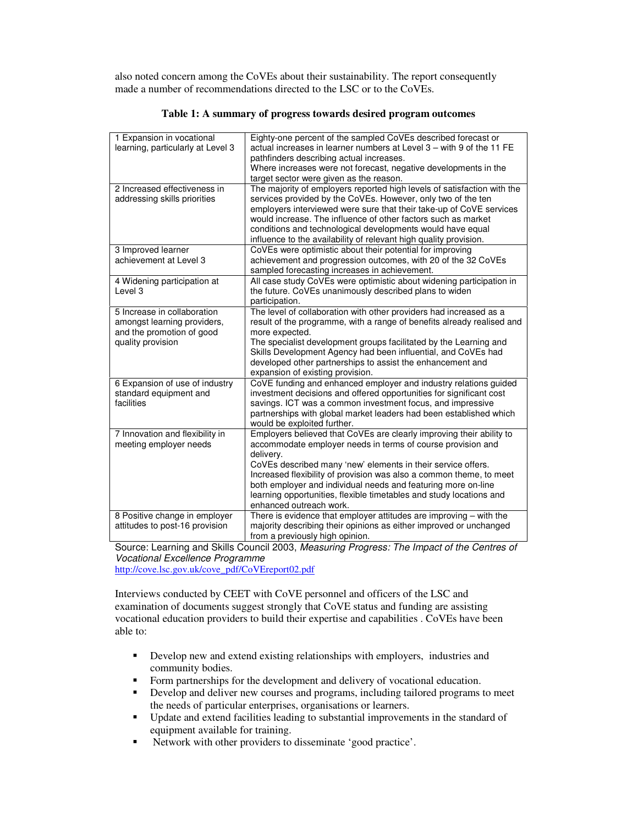also noted concern among the CoVEs about their sustainability. The report consequently made a number of recommendations directed to the LSC or to the CoVEs.

| 1 Expansion in vocational<br>learning, particularly at Level 3                                               | Eighty-one percent of the sampled CoVEs described forecast or<br>actual increases in learner numbers at Level 3 – with 9 of the 11 FE<br>pathfinders describing actual increases.<br>Where increases were not forecast, negative developments in the<br>target sector were given as the reason.                                                                                                                                                            |  |  |
|--------------------------------------------------------------------------------------------------------------|------------------------------------------------------------------------------------------------------------------------------------------------------------------------------------------------------------------------------------------------------------------------------------------------------------------------------------------------------------------------------------------------------------------------------------------------------------|--|--|
| 2 Increased effectiveness in<br>addressing skills priorities                                                 | The majority of employers reported high levels of satisfaction with the<br>services provided by the CoVEs. However, only two of the ten<br>employers interviewed were sure that their take-up of CoVE services<br>would increase. The influence of other factors such as market<br>conditions and technological developments would have equal<br>influence to the availability of relevant high quality provision.                                         |  |  |
| 3 Improved learner<br>achievement at Level 3                                                                 | CoVEs were optimistic about their potential for improving<br>achievement and progression outcomes, with 20 of the 32 CoVEs<br>sampled forecasting increases in achievement.                                                                                                                                                                                                                                                                                |  |  |
| 4 Widening participation at<br>Level <sub>3</sub>                                                            | All case study CoVEs were optimistic about widening participation in<br>the future. CoVEs unanimously described plans to widen<br>participation.                                                                                                                                                                                                                                                                                                           |  |  |
| 5 Increase in collaboration<br>amongst learning providers,<br>and the promotion of good<br>quality provision | The level of collaboration with other providers had increased as a<br>result of the programme, with a range of benefits already realised and<br>more expected.<br>The specialist development groups facilitated by the Learning and<br>Skills Development Agency had been influential, and CoVEs had<br>developed other partnerships to assist the enhancement and<br>expansion of existing provision.                                                     |  |  |
| 6 Expansion of use of industry<br>standard equipment and<br>facilities                                       | CoVE funding and enhanced employer and industry relations guided<br>investment decisions and offered opportunities for significant cost<br>savings. ICT was a common investment focus, and impressive<br>partnerships with global market leaders had been established which<br>would be exploited further.                                                                                                                                                 |  |  |
| 7 Innovation and flexibility in<br>meeting employer needs                                                    | Employers believed that CoVEs are clearly improving their ability to<br>accommodate employer needs in terms of course provision and<br>deliverv.<br>CoVEs described many 'new' elements in their service offers.<br>Increased flexibility of provision was also a common theme, to meet<br>both employer and individual needs and featuring more on-line<br>learning opportunities, flexible timetables and study locations and<br>enhanced outreach work. |  |  |
| 8 Positive change in employer<br>attitudes to post-16 provision                                              | There is evidence that employer attitudes are improving $-$ with the<br>majority describing their opinions as either improved or unchanged<br>from a previously high opinion.                                                                                                                                                                                                                                                                              |  |  |

|  |  | Table 1: A summary of progress towards desired program outcomes |
|--|--|-----------------------------------------------------------------|
|  |  |                                                                 |

Source: Learning and Skills Council 2003, *Measuring Progress: The Impact of the Centres of Vocational Excellence Programme*

http://cove.lsc.gov.uk/cove\_pdf/CoVEreport02.pdf

Interviews conducted by CEET with CoVE personnel and officers of the LSC and examination of documents suggest strongly that CoVE status and funding are assisting vocational education providers to build their expertise and capabilities . CoVEs have been able to:

- Develop new and extend existing relationships with employers, industries and community bodies.
- Form partnerships for the development and delivery of vocational education.<br>• Develop and deliver new courses and programs, including tailored programs to
- Develop and deliver new courses and programs, including tailored programs to meet the needs of particular enterprises, organisations or learners.
- Update and extend facilities leading to substantial improvements in the standard of equipment available for training.
- Network with other providers to disseminate 'good practice'.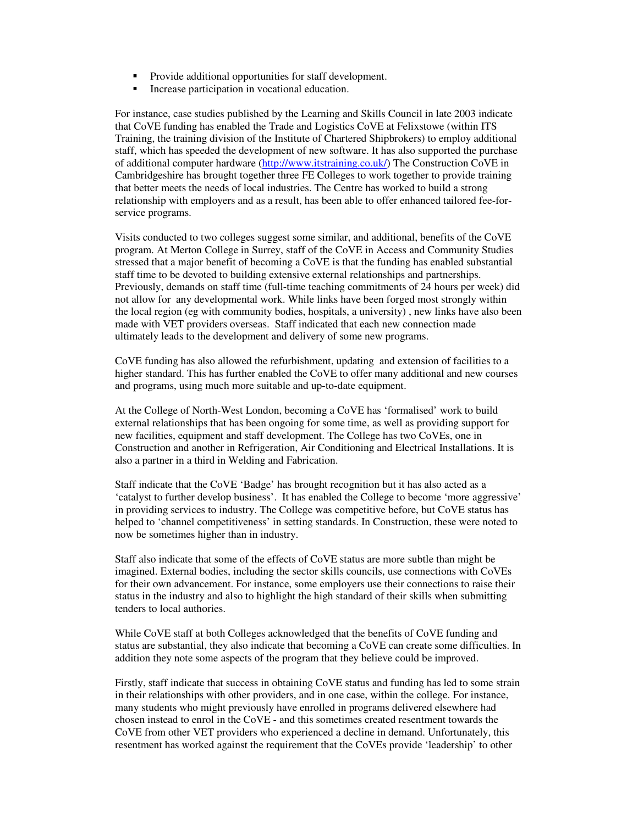- Provide additional opportunities for staff development.
- **Increase participation in vocational education.**

For instance, case studies published by the Learning and Skills Council in late 2003 indicate that CoVE funding has enabled the Trade and Logistics CoVE at Felixstowe (within ITS Training, the training division of the Institute of Chartered Shipbrokers) to employ additional staff, which has speeded the development of new software. It has also supported the purchase of additional computer hardware (http://www.itstraining.co.uk/) The Construction CoVE in Cambridgeshire has brought together three FE Colleges to work together to provide training that better meets the needs of local industries. The Centre has worked to build a strong relationship with employers and as a result, has been able to offer enhanced tailored fee-forservice programs.

Visits conducted to two colleges suggest some similar, and additional, benefits of the CoVE program. At Merton College in Surrey, staff of the CoVE in Access and Community Studies stressed that a major benefit of becoming a CoVE is that the funding has enabled substantial staff time to be devoted to building extensive external relationships and partnerships. Previously, demands on staff time (full-time teaching commitments of 24 hours per week) did not allow for any developmental work. While links have been forged most strongly within the local region (eg with community bodies, hospitals, a university) , new links have also been made with VET providers overseas. Staff indicated that each new connection made ultimately leads to the development and delivery of some new programs.

CoVE funding has also allowed the refurbishment, updating and extension of facilities to a higher standard. This has further enabled the CoVE to offer many additional and new courses and programs, using much more suitable and up-to-date equipment.

At the College of North-West London, becoming a CoVE has 'formalised' work to build external relationships that has been ongoing for some time, as well as providing support for new facilities, equipment and staff development. The College has two CoVEs, one in Construction and another in Refrigeration, Air Conditioning and Electrical Installations. It is also a partner in a third in Welding and Fabrication.

Staff indicate that the CoVE 'Badge' has brought recognition but it has also acted as a 'catalyst to further develop business'. It has enabled the College to become 'more aggressive' in providing services to industry. The College was competitive before, but CoVE status has helped to 'channel competitiveness' in setting standards. In Construction, these were noted to now be sometimes higher than in industry.

Staff also indicate that some of the effects of CoVE status are more subtle than might be imagined. External bodies, including the sector skills councils, use connections with CoVEs for their own advancement. For instance, some employers use their connections to raise their status in the industry and also to highlight the high standard of their skills when submitting tenders to local authories.

While CoVE staff at both Colleges acknowledged that the benefits of CoVE funding and status are substantial, they also indicate that becoming a CoVE can create some difficulties. In addition they note some aspects of the program that they believe could be improved.

Firstly, staff indicate that success in obtaining CoVE status and funding has led to some strain in their relationships with other providers, and in one case, within the college. For instance, many students who might previously have enrolled in programs delivered elsewhere had chosen instead to enrol in the CoVE - and this sometimes created resentment towards the CoVE from other VET providers who experienced a decline in demand. Unfortunately, this resentment has worked against the requirement that the CoVEs provide 'leadership' to other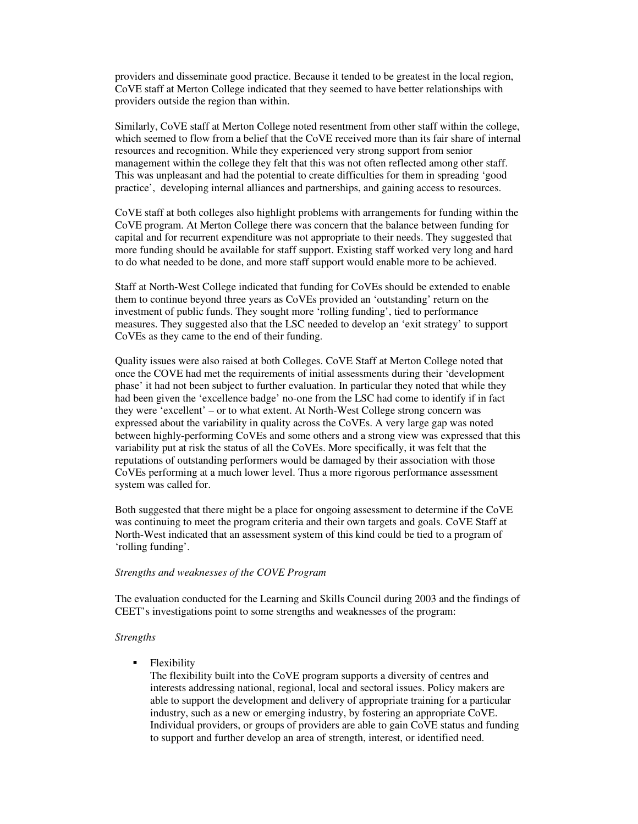providers and disseminate good practice. Because it tended to be greatest in the local region, CoVE staff at Merton College indicated that they seemed to have better relationships with providers outside the region than within.

Similarly, CoVE staff at Merton College noted resentment from other staff within the college, which seemed to flow from a belief that the CoVE received more than its fair share of internal resources and recognition. While they experienced very strong support from senior management within the college they felt that this was not often reflected among other staff. This was unpleasant and had the potential to create difficulties for them in spreading 'good practice', developing internal alliances and partnerships, and gaining access to resources.

CoVE staff at both colleges also highlight problems with arrangements for funding within the CoVE program. At Merton College there was concern that the balance between funding for capital and for recurrent expenditure was not appropriate to their needs. They suggested that more funding should be available for staff support. Existing staff worked very long and hard to do what needed to be done, and more staff support would enable more to be achieved.

Staff at North-West College indicated that funding for CoVEs should be extended to enable them to continue beyond three years as CoVEs provided an 'outstanding' return on the investment of public funds. They sought more 'rolling funding', tied to performance measures. They suggested also that the LSC needed to develop an 'exit strategy' to support CoVEs as they came to the end of their funding.

Quality issues were also raised at both Colleges. CoVE Staff at Merton College noted that once the COVE had met the requirements of initial assessments during their 'development phase' it had not been subject to further evaluation. In particular they noted that while they had been given the 'excellence badge' no-one from the LSC had come to identify if in fact they were 'excellent' – or to what extent. At North-West College strong concern was expressed about the variability in quality across the CoVEs. A very large gap was noted between highly-performing CoVEs and some others and a strong view was expressed that this variability put at risk the status of all the CoVEs. More specifically, it was felt that the reputations of outstanding performers would be damaged by their association with those CoVEs performing at a much lower level. Thus a more rigorous performance assessment system was called for.

Both suggested that there might be a place for ongoing assessment to determine if the CoVE was continuing to meet the program criteria and their own targets and goals. CoVE Staff at North-West indicated that an assessment system of this kind could be tied to a program of 'rolling funding'.

### *Strengths and weaknesses of the COVE Program*

The evaluation conducted for the Learning and Skills Council during 2003 and the findings of CEET's investigations point to some strengths and weaknesses of the program:

#### *Strengths*

**Flexibility** 

The flexibility built into the CoVE program supports a diversity of centres and interests addressing national, regional, local and sectoral issues. Policy makers are able to support the development and delivery of appropriate training for a particular industry, such as a new or emerging industry, by fostering an appropriate CoVE. Individual providers, or groups of providers are able to gain CoVE status and funding to support and further develop an area of strength, interest, or identified need.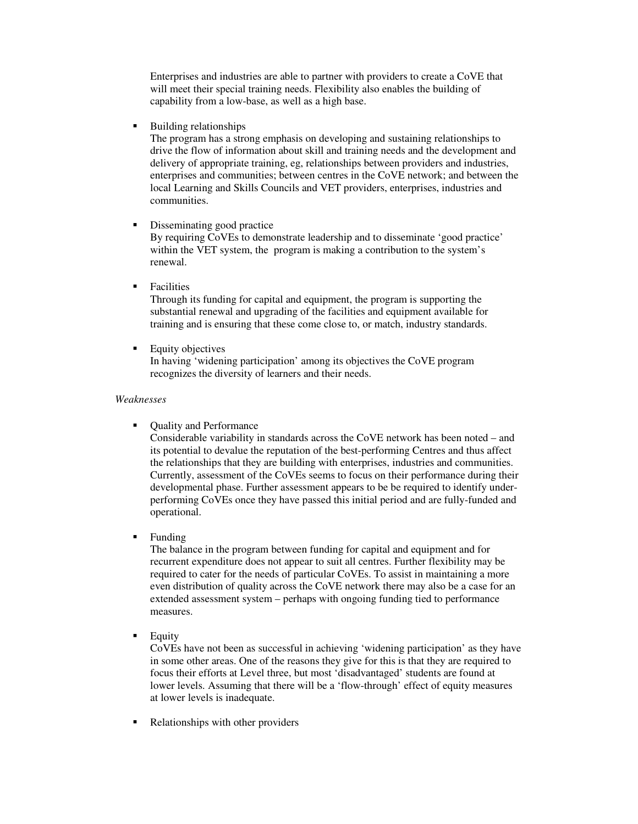Enterprises and industries are able to partner with providers to create a CoVE that will meet their special training needs. Flexibility also enables the building of capability from a low-base, as well as a high base.

■ Building relationships

The program has a strong emphasis on developing and sustaining relationships to drive the flow of information about skill and training needs and the development and delivery of appropriate training, eg, relationships between providers and industries, enterprises and communities; between centres in the CoVE network; and between the local Learning and Skills Councils and VET providers, enterprises, industries and communities.

Disseminating good practice

By requiring CoVEs to demonstrate leadership and to disseminate 'good practice' within the VET system, the program is making a contribution to the system's renewal.

Facilities

Through its funding for capital and equipment, the program is supporting the substantial renewal and upgrading of the facilities and equipment available for training and is ensuring that these come close to, or match, industry standards.

Equity objectives

In having 'widening participation' among its objectives the CoVE program recognizes the diversity of learners and their needs.

# *Weaknesses*

• Ouality and Performance

Considerable variability in standards across the CoVE network has been noted – and its potential to devalue the reputation of the best-performing Centres and thus affect the relationships that they are building with enterprises, industries and communities. Currently, assessment of the CoVEs seems to focus on their performance during their developmental phase. Further assessment appears to be be required to identify underperforming CoVEs once they have passed this initial period and are fully-funded and operational.

**Funding** 

The balance in the program between funding for capital and equipment and for recurrent expenditure does not appear to suit all centres. Further flexibility may be required to cater for the needs of particular CoVEs. To assist in maintaining a more even distribution of quality across the CoVE network there may also be a case for an extended assessment system – perhaps with ongoing funding tied to performance measures.

Equity

CoVEs have not been as successful in achieving 'widening participation' as they have in some other areas. One of the reasons they give for this is that they are required to focus their efforts at Level three, but most 'disadvantaged' students are found at lower levels. Assuming that there will be a 'flow-through' effect of equity measures at lower levels is inadequate.

Relationships with other providers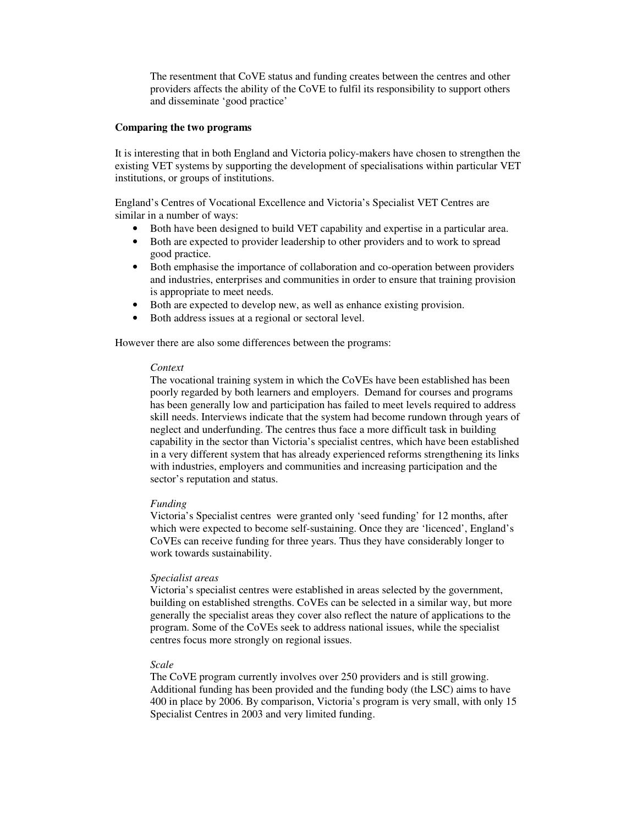The resentment that CoVE status and funding creates between the centres and other providers affects the ability of the CoVE to fulfil its responsibility to support others and disseminate 'good practice'

#### **Comparing the two programs**

It is interesting that in both England and Victoria policy-makers have chosen to strengthen the existing VET systems by supporting the development of specialisations within particular VET institutions, or groups of institutions.

England's Centres of Vocational Excellence and Victoria's Specialist VET Centres are similar in a number of ways:

- Both have been designed to build VET capability and expertise in a particular area.
- Both are expected to provider leadership to other providers and to work to spread good practice.
- Both emphasise the importance of collaboration and co-operation between providers and industries, enterprises and communities in order to ensure that training provision is appropriate to meet needs.
- Both are expected to develop new, as well as enhance existing provision.
- Both address issues at a regional or sectoral level.

However there are also some differences between the programs:

#### *Context*

The vocational training system in which the CoVEs have been established has been poorly regarded by both learners and employers. Demand for courses and programs has been generally low and participation has failed to meet levels required to address skill needs. Interviews indicate that the system had become rundown through years of neglect and underfunding. The centres thus face a more difficult task in building capability in the sector than Victoria's specialist centres, which have been established in a very different system that has already experienced reforms strengthening its links with industries, employers and communities and increasing participation and the sector's reputation and status.

### *Funding*

Victoria's Specialist centres were granted only 'seed funding' for 12 months, after which were expected to become self-sustaining. Once they are 'licenced', England's CoVEs can receive funding for three years. Thus they have considerably longer to work towards sustainability.

### *Specialist areas*

Victoria's specialist centres were established in areas selected by the government, building on established strengths. CoVEs can be selected in a similar way, but more generally the specialist areas they cover also reflect the nature of applications to the program. Some of the CoVEs seek to address national issues, while the specialist centres focus more strongly on regional issues.

#### *Scale*

The CoVE program currently involves over 250 providers and is still growing. Additional funding has been provided and the funding body (the LSC) aims to have 400 in place by 2006. By comparison, Victoria's program is very small, with only 15 Specialist Centres in 2003 and very limited funding.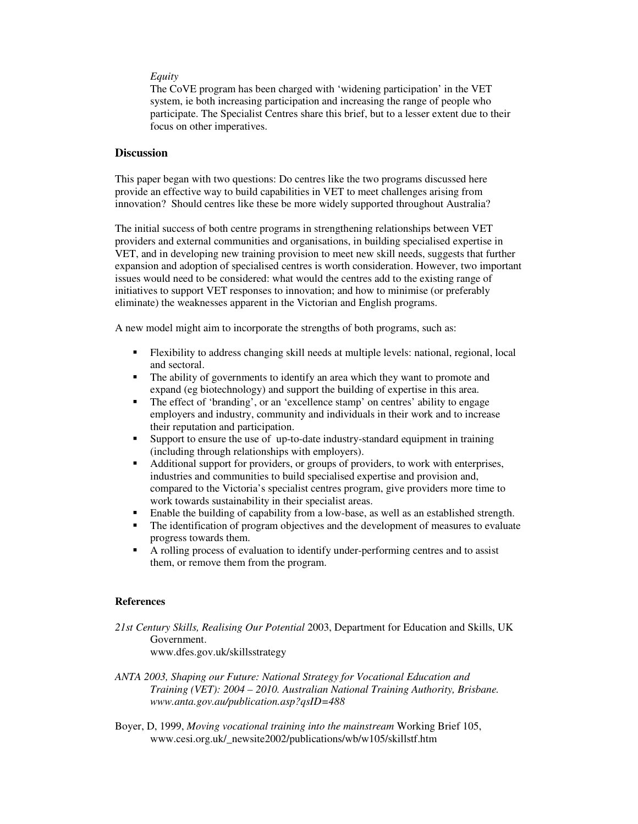### *Equity*

The CoVE program has been charged with 'widening participation' in the VET system, ie both increasing participation and increasing the range of people who participate. The Specialist Centres share this brief, but to a lesser extent due to their focus on other imperatives.

### **Discussion**

This paper began with two questions: Do centres like the two programs discussed here provide an effective way to build capabilities in VET to meet challenges arising from innovation? Should centres like these be more widely supported throughout Australia?

The initial success of both centre programs in strengthening relationships between VET providers and external communities and organisations, in building specialised expertise in VET, and in developing new training provision to meet new skill needs, suggests that further expansion and adoption of specialised centres is worth consideration. However, two important issues would need to be considered: what would the centres add to the existing range of initiatives to support VET responses to innovation; and how to minimise (or preferably eliminate) the weaknesses apparent in the Victorian and English programs.

A new model might aim to incorporate the strengths of both programs, such as:

- Flexibility to address changing skill needs at multiple levels: national, regional, local and sectoral.
- The ability of governments to identify an area which they want to promote and expand (eg biotechnology) and support the building of expertise in this area.
- The effect of 'branding', or an 'excellence stamp' on centres' ability to engage employers and industry, community and individuals in their work and to increase their reputation and participation.
- Support to ensure the use of up-to-date industry-standard equipment in training (including through relationships with employers).
- Additional support for providers, or groups of providers, to work with enterprises, industries and communities to build specialised expertise and provision and, compared to the Victoria's specialist centres program, give providers more time to work towards sustainability in their specialist areas.
- Enable the building of capability from a low-base, as well as an established strength.
- The identification of program objectives and the development of measures to evaluate progress towards them.
- A rolling process of evaluation to identify under-performing centres and to assist them, or remove them from the program.

# **References**

- *21st Century Skills, Realising Our Potential* 2003, Department for Education and Skills, UK Government. www.dfes.gov.uk/skillsstrategy
- *ANTA 2003, Shaping our Future: National Strategy for Vocational Education and Training (VET): 2004 – 2010. Australian National Training Authority, Brisbane. www.anta.gov.au/publication.asp?qsID=488*
- Boyer, D, 1999, *Moving vocational training into the mainstream* Working Brief 105, www.cesi.org.uk/\_newsite2002/publications/wb/w105/skillstf.htm